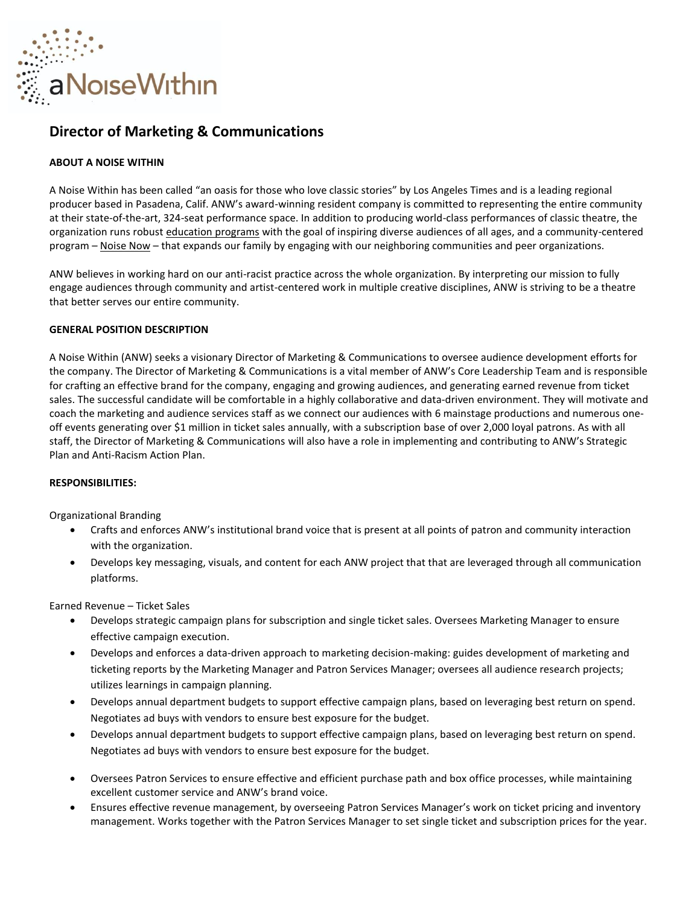

# **Director of Marketing & Communications**

# **ABOUT A NOISE WITHIN**

A Noise Within has been called "an oasis for those who love classic stories" by Los Angeles Times and is a leading regional producer based in Pasadena, Calif. ANW's award-winning resident company is committed to representing the entire community at their state-of-the-art, 324-seat performance space. In addition to producing world-class performances of classic theatre, the organization runs robust [education programs](https://www.anoisewithin.org/education/for-educators/) with the goal of inspiring diverse audiences of all ages, and a community-centered program – [Noise Now](https://www.anoisewithin.org/noise-now/) – that expands our family by engaging with our neighboring communities and peer organizations.

ANW believes in working hard on our anti-racist practice across the whole organization. By interpreting our mission to fully engage audiences through community and artist-centered work in multiple creative disciplines, ANW is striving to be a theatre that better serves our entire community.

# **GENERAL POSITION DESCRIPTION**

A Noise Within (ANW) seeks a visionary Director of Marketing & Communications to oversee audience development efforts for the company. The Director of Marketing & Communications is a vital member of ANW's Core Leadership Team and is responsible for crafting an effective brand for the company, engaging and growing audiences, and generating earned revenue from ticket sales. The successful candidate will be comfortable in a highly collaborative and data-driven environment. They will motivate and coach the marketing and audience services staff as we connect our audiences with 6 mainstage productions and numerous oneoff events generating over \$1 million in ticket sales annually, with a subscription base of over 2,000 loyal patrons. As with all staff, the Director of Marketing & Communications will also have a role in implementing and contributing to ANW's Strategic Plan and Anti-Racism Action Plan.

#### **RESPONSIBILITIES:**

Organizational Branding

- Crafts and enforces ANW's institutional brand voice that is present at all points of patron and community interaction with the organization.
- Develops key messaging, visuals, and content for each ANW project that that are leveraged through all communication platforms.

Earned Revenue – Ticket Sales

- Develops strategic campaign plans for subscription and single ticket sales. Oversees Marketing Manager to ensure effective campaign execution.
- Develops and enforces a data-driven approach to marketing decision-making: guides development of marketing and ticketing reports by the Marketing Manager and Patron Services Manager; oversees all audience research projects; utilizes learnings in campaign planning.
- Develops annual department budgets to support effective campaign plans, based on leveraging best return on spend. Negotiates ad buys with vendors to ensure best exposure for the budget.
- Develops annual department budgets to support effective campaign plans, based on leveraging best return on spend. Negotiates ad buys with vendors to ensure best exposure for the budget.
- Oversees Patron Services to ensure effective and efficient purchase path and box office processes, while maintaining excellent customer service and ANW's brand voice.
- Ensures effective revenue management, by overseeing Patron Services Manager's work on ticket pricing and inventory management. Works together with the Patron Services Manager to set single ticket and subscription prices for the year.